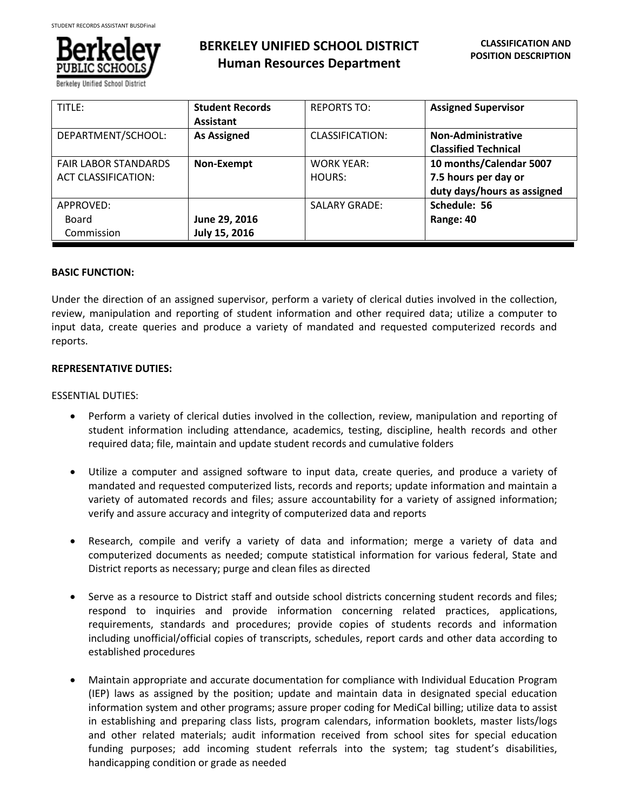

# **BERKELEY UNIFIED SCHOOL DISTRICT Human Resources Department**

| TITLE:                                                    | <b>Student Records</b><br><b>Assistant</b> | <b>REPORTS TO:</b>          | <b>Assigned Supervisor</b>                                                     |
|-----------------------------------------------------------|--------------------------------------------|-----------------------------|--------------------------------------------------------------------------------|
| DEPARTMENT/SCHOOL:                                        | <b>As Assigned</b>                         | CLASSIFICATION:             | <b>Non-Administrative</b><br><b>Classified Technical</b>                       |
| <b>FAIR LABOR STANDARDS</b><br><b>ACT CLASSIFICATION:</b> | Non-Exempt                                 | <b>WORK YEAR:</b><br>HOURS: | 10 months/Calendar 5007<br>7.5 hours per day or<br>duty days/hours as assigned |
| APPROVED:<br>Board<br>Commission                          | June 29, 2016<br>July 15, 2016             | <b>SALARY GRADE:</b>        | Schedule: 56<br>Range: 40                                                      |

### **BASIC FUNCTION:**

Under the direction of an assigned supervisor, perform a variety of clerical duties involved in the collection, review, manipulation and reporting of student information and other required data; utilize a computer to input data, create queries and produce a variety of mandated and requested computerized records and reports.

### **REPRESENTATIVE DUTIES:**

### ESSENTIAL DUTIES:

- Perform a variety of clerical duties involved in the collection, review, manipulation and reporting of student information including attendance, academics, testing, discipline, health records and other required data; file, maintain and update student records and cumulative folders
- Utilize a computer and assigned software to input data, create queries, and produce a variety of mandated and requested computerized lists, records and reports; update information and maintain a variety of automated records and files; assure accountability for a variety of assigned information; verify and assure accuracy and integrity of computerized data and reports
- Research, compile and verify a variety of data and information; merge a variety of data and computerized documents as needed; compute statistical information for various federal, State and District reports as necessary; purge and clean files as directed
- Serve as a resource to District staff and outside school districts concerning student records and files; respond to inquiries and provide information concerning related practices, applications, requirements, standards and procedures; provide copies of students records and information including unofficial/official copies of transcripts, schedules, report cards and other data according to established procedures
- Maintain appropriate and accurate documentation for compliance with Individual Education Program (IEP) laws as assigned by the position; update and maintain data in designated special education information system and other programs; assure proper coding for MediCal billing; utilize data to assist in establishing and preparing class lists, program calendars, information booklets, master lists/logs and other related materials; audit information received from school sites for special education funding purposes; add incoming student referrals into the system; tag student's disabilities, handicapping condition or grade as needed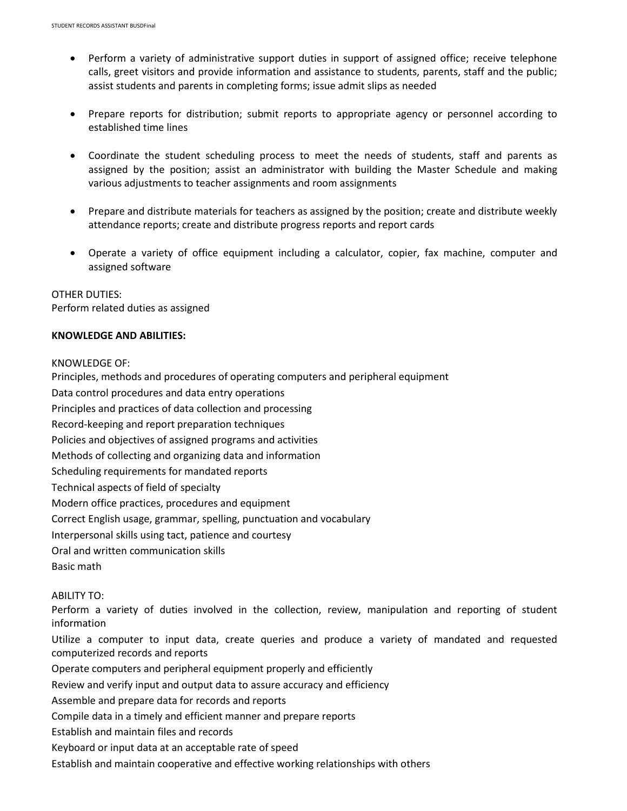- Perform a variety of administrative support duties in support of assigned office; receive telephone calls, greet visitors and provide information and assistance to students, parents, staff and the public; assist students and parents in completing forms; issue admit slips as needed
- Prepare reports for distribution; submit reports to appropriate agency or personnel according to established time lines
- Coordinate the student scheduling process to meet the needs of students, staff and parents as assigned by the position; assist an administrator with building the Master Schedule and making various adjustments to teacher assignments and room assignments
- Prepare and distribute materials for teachers as assigned by the position; create and distribute weekly attendance reports; create and distribute progress reports and report cards
- Operate a variety of office equipment including a calculator, copier, fax machine, computer and assigned software

OTHER DUTIES: Perform related duties as assigned

# **KNOWLEDGE AND ABILITIES:**

### KNOWLEDGE OF:

Principles, methods and procedures of operating computers and peripheral equipment

Data control procedures and data entry operations

Principles and practices of data collection and processing

Record-keeping and report preparation techniques

Policies and objectives of assigned programs and activities

Methods of collecting and organizing data and information

Scheduling requirements for mandated reports

Technical aspects of field of specialty

Modern office practices, procedures and equipment

Correct English usage, grammar, spelling, punctuation and vocabulary

Interpersonal skills using tact, patience and courtesy

Oral and written communication skills

Basic math

# ABILITY TO:

Perform a variety of duties involved in the collection, review, manipulation and reporting of student information

Utilize a computer to input data, create queries and produce a variety of mandated and requested computerized records and reports

Operate computers and peripheral equipment properly and efficiently

Review and verify input and output data to assure accuracy and efficiency

Assemble and prepare data for records and reports

- Compile data in a timely and efficient manner and prepare reports
- Establish and maintain files and records
- Keyboard or input data at an acceptable rate of speed

Establish and maintain cooperative and effective working relationships with others